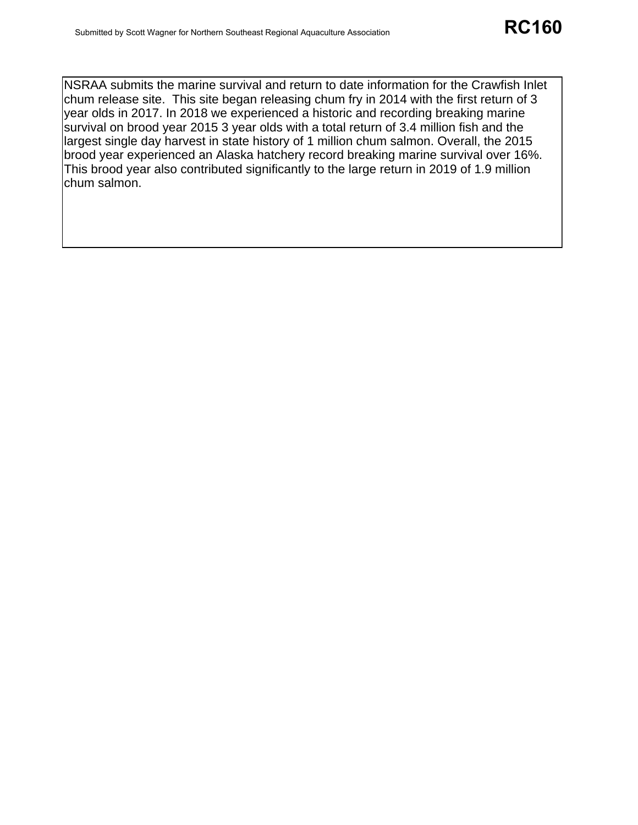NSRAA submits the marine survival and return to date information for the Crawfish Inlet<br>chum release site. This site began releasing chum fry in 2014 with the first return of 3<br>year olds in 2017. In 2018 we experienced a h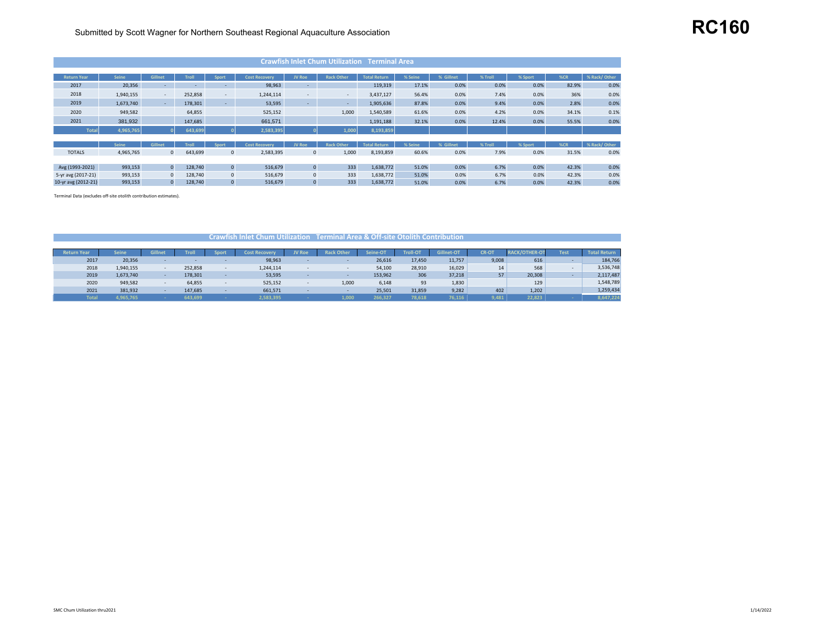|                     |           |                |         |              |                      |                | <b>Crawfish Inlet Chum Utilization Terminal Area</b> |                     |         |           |         |         |       |              |
|---------------------|-----------|----------------|---------|--------------|----------------------|----------------|------------------------------------------------------|---------------------|---------|-----------|---------|---------|-------|--------------|
| <b>Return Year</b>  | Seine     | <b>Gillnet</b> | Troll   | Sport        | <b>Cost Recovery</b> | JV Roe         | <b>Rack Other</b>                                    | <b>Total Return</b> | % Seine | % Gillnet | % Troll | % Sport | %CR   | % Rack/Other |
| 2017                | 20,356    | <b>Service</b> | $\sim$  | $\sim$       | 98,963               | $\sim$         |                                                      | 119,319             | 17.1%   | 0.0%      | 0.0%    | 0.0%    | 82.9% | 0.0%         |
| 2018                | 1,940,155 | $\sim$         | 252,858 | $\sim$       | 1,244,114            | $\sim$         | $\sim$                                               | 3,437,127           | 56.4%   | 0.0%      | 7.4%    | 0.0%    | 36%   | 0.0%         |
| 2019                | 1,673,740 | $\sim$         | 178,301 | $\sim 100$   | 53,595               | $\sim 10$      | $\sim$                                               | 1,905,636           | 87.8%   | 0.0%      | 9.4%    | 0.0%    | 2.8%  | 0.0%         |
| 2020                | 949,582   |                | 64,855  |              | 525,152              |                | 1,000                                                | 1,540,589           | 61.6%   | 0.0%      | 4.2%    | 0.0%    | 34.1% | 0.1%         |
| 2021                | 381,932   |                | 147,685 |              | 661,571              |                |                                                      | 1,191,188           | 32.1%   | 0.0%      | 12.4%   | 0.0%    | 55.5% | 0.0%         |
| <b>Total</b>        | 4,965,765 |                | 643,699 |              | 2,583,395            |                | 1,000                                                | 8,193,859           |         |           |         |         |       |              |
|                     |           |                |         |              |                      |                |                                                      |                     |         |           |         |         |       |              |
|                     | Seine     | Gillnet        | Troll   | Sport        | <b>Cost Recovery</b> | JV Roe         | <b>Rack Other</b>                                    | <b>Total Return</b> | % Seine | % Gillnet | % Troll | % Sport | %CR   | % Rack/Other |
| <b>TOTALS</b>       | 4,965,765 | $\mathbf{0}$   | 643,699 | $\mathbf 0$  | 2,583,395            | $\overline{0}$ | 1,000                                                | 8,193,859           | 60.6%   | 0.0%      | 7.9%    | 0.0%    | 31.5% | 0.0%         |
| Avg (1993-2021)     | 993,153   | $\Omega$       | 128,740 | $\mathbf{0}$ | 516,679              | $\mathbf{0}$   | 333                                                  | 1,638,772           | 51.0%   | 0.0%      | 6.7%    | 0.0%    | 42.3% | 0.0%         |
| 5-yr avg (2017-21)  | 993,153   | $\Omega$       | 128,740 | $\mathbf{0}$ | 516,679              | $\overline{0}$ | 333                                                  | 1,638,772           | 51.0%   | 0.0%      | 6.7%    | 0.0%    | 42.3% | 0.0%         |
| 10-yr avg (2012-21) | 993,153   | $\Omega$       | 128,740 | $\mathbf{0}$ | 516,679              | $\mathbf{0}$   | 333                                                  | 1,638,772           | 51.0%   | 0.0%      | 6.7%    | 0.0%    | 42.3% | 0.0%         |

## **- Crawfish Inlet Chum Utilization Terminal Area & Off-site Otolith Contribution**

| <b>Return Year</b> | <b>Seine</b> |    | Troll   | Sport | <b>Cost Recovery</b> | <b>JV Roe</b> | <b>Rack Other</b> | Seine-OT | Troll-OT | $t$ -OT<br><b>Gillnet</b> | <b>CR-OT</b> | <b>OTHER-OT</b><br><b>RACK</b> | <b>Test</b> | <b>Total Return</b> |
|--------------------|--------------|----|---------|-------|----------------------|---------------|-------------------|----------|----------|---------------------------|--------------|--------------------------------|-------------|---------------------|
| 2017               | 20,356       |    |         |       | 98,963               |               |                   | 26,616   | 17,450   | 11,757                    | 9,008        | 616                            | $\sim$      | 184.766             |
| 2018               | 1,940,155    |    | 252,858 |       | 1,244,114            |               |                   | 54,100   | 28,910   | 16,029                    | 14           | 568                            | $\sim$      | 3,536,748           |
| 2019               | 1,673,740    | ۰. | 178,301 |       | 53,595               | . .           |                   | 153,962  | 306      | 37,218                    |              | 20,308                         | ۰.          | 2,117,487           |
| 2020               | 949,582      |    | 64,855  |       | 525,152              |               | 1,000             | 6,148    | 93       | 1,830                     |              | 129                            |             | 1,548,789           |
| 2021               | 381,932      |    | 147,685 |       | 661,571              |               |                   | 25,501   | 31,859   | 9,282                     | 402          | 1,202                          |             | 1,259,434           |
| <b>Total</b>       | .965.765     |    | 643.699 |       | 2,583,395            |               | 1.000             | 266.327  | 78.618   | 76,116                    | 9.481        | 22,823                         |             | 8,647,22            |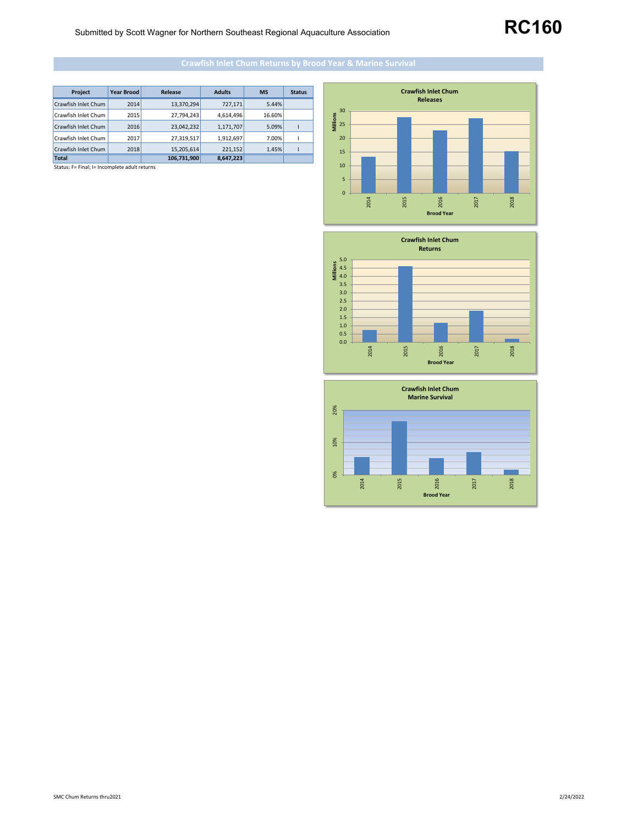| <b>Project</b>      | <b>Year Brood</b> | Release     | <b>Adults</b> | <b>MS</b> | <b>Status</b> |
|---------------------|-------------------|-------------|---------------|-----------|---------------|
| Crawfish Inlet Chum | 2014              | 13,370,294  | 727,171       | 5.44%     |               |
| Crawfish Inlet Chum | 2015              | 27,794,243  | 4,614,496     | 16.60%    |               |
| Crawfish Inlet Chum | 2016              | 23,042,232  | 1,171,707     | 5.09%     |               |
| Crawfish Inlet Chum | 2017              | 27,319,517  | 1,912,697     | 7.00%     |               |
| Crawfish Inlet Chum | 2018              | 15,205,614  | 221,152       | 1.45%     |               |
| <b>Total</b>        |                   | 106,731,900 | 8,647,223     |           |               |

Status: F= Final; I= Incomplete adult returns